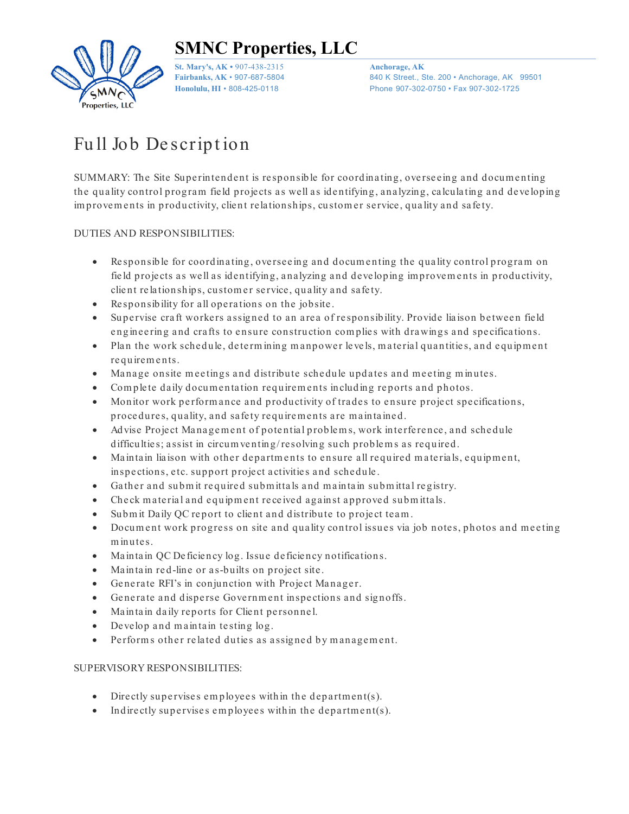

**SMNC Properties, LLC**

**St. Mary's, AK •** 907-438-2315 **Anchorage, AK**

**Fairbanks, AK • 907-687-5804** 840 K Street., Ste. 200 • Anchorage, AK 99501 **Honolulu, HI** • 808-425-0118 Phone 907-302-0750 • Fax 907-302-1725

# Full Job Description

SUMMARY: The Site Superintendent is responsible for coordinating, overseeing and documenting the quality control program field projects as well as identifying, analyzing, calculating and developing im provements in productivity, client relationships, customer service, quality and safety.

#### DUTIES AND RESPONSIBILITIES:

- Responsible for coordinating, overseeing and documenting the quality control program on field projects as well as identifying, analyzing and developing improvements in productivity, client relationships, customer service, quality and safety.
- Responsibility for all operations on the jobsite.
- Supervise craft workers assigned to an area of responsibility. Provide liaison between field engineering and crafts to ensure construction complies with drawings and specifications.
- Plan the work schedule, determining manpower levels, material quantities, and equipment re quirem e nts.
- Manage onsite meetings and distribute schedule updates and meeting minutes.
- Complete daily documentation requirements including reports and photos.
- Monitor work performance and productivity of trades to ensure project specifications, procedures, quality, and safety requirements are maintained.
- Advise Project Management of potential problems, work interference, and schedule difficulties; assist in circum venting/resolving such problems as required.
- Maintain liaison with other departments to ensure all required materials, equipment, inspections, etc. support project activities and schedule.
- Gather and submit required submittals and maintain submittal registry.
- Check material and equipment received against approved submittals.
- Submit Daily QC report to client and distribute to project team.
- Docum ent work progress on site and quality control issues via job notes, photos and meeting minutes.
- Maintain OC Deficiency log. Issue deficiency notifications.
- Maintain red-line or as-builts on project site.
- Generate RFI's in conjunction with Project Manager.
- Generate and disperse Government inspections and signoffs.
- Maintain daily reports for Client personnel.
- Develop and maintain testing log.
- Performs other related duties as assigned by management.

#### SUPERVISORY RESPONSIBILITIES:

- Directly supervises employees within the department(s).
- Indirectly supervises employees within the department(s).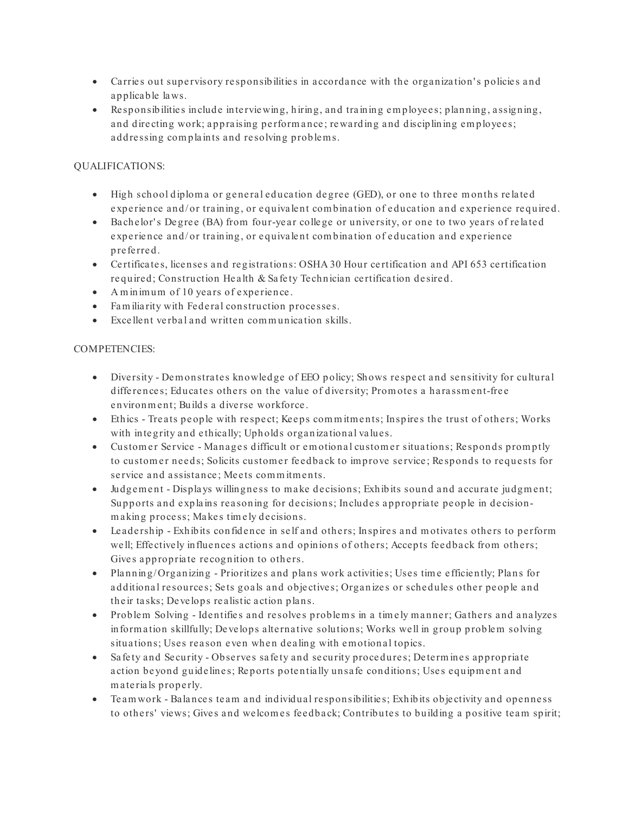- Carries out supervisory responsibilities in accordance with the organization's policies and a pplica ble la ws.
- Re sponsibilitie s include inte rvie wing, hiring, and tra ining e m ploye e s; planning, a ssigning, and directing work; appraising performance; rewarding and disciplining employees; a ddre ssing com pla ints a nd re solving proble m s.

## QUALIFICATIONS:

- High school diploma or general education degree (GED), or one to three months related experience and/or training, or equivalent combination of education and experience required.
- Ba chelor's Degree (BA) from four-year college or university, or one to two years of related experience and/or training, or equivalent combination of education and experience pre fe rre d.
- Certificates, licenses and registrations: OSHA 30 Hour certification and API 653 certification re quired; Construction He a lth & Sa fe ty Te chnician ce rtifica tion de sire d.
- A m inimum of 10 years of experience.
- Familiarity with Federal construction processes.
- Excellent verbal and written communication skills.

## COMPETENCIES:

- Diversity Demonstrates knowledge of EEO policy; Shows respect and sensitivity for cultural differences; Educates others on the value of diversity; Promotes a harassment-free environment; Builds a diverse workforce.
- Ethics Treats people with respect; Keeps commitments; Inspires the trust of others; Works with integrity and ethically; Upholds organizational values.
- Customer Service Manages difficult or emotional customer situations; Responds promptly to customer needs; Solicits customer feedback to improve service; Responds to requests for service and assistance; Meets commitments.
- Judgement Displays willingness to make decisions; Exhibits sound and accurate judgment; Supports and explains reasoning for decisions; Includes appropriate people in decisionm a king process; Makes timely decisions.
- Leadership Exhibits confidence in self and others; Inspires and motivates others to perform well; Effectively influences actions and opinions of others; Accepts feedback from others; Gives appropriate recognition to others.
- Planning/ Organizing Prioritizes and plans work activities; Uses time efficiently; Plans for additional resources; Sets goals and objectives; Organizes or schedules other people and the ir ta sks; De ve lops re alistic a ction pla ns.
- Problem Solving Identifies and resolves problems in a timely manner; Gathers and analyzes information skillfully; Develops alternative solutions; Works well in group problem solving situations; Uses reason even when dealing with emotional topics.
- Safety and Security Observes safety and security procedures; Determines appropriate action beyond guidelines; Reports potentially unsafe conditions; Uses equipment and m a terials properly.
- Teamwork Balances team and individual responsibilities; Exhibits objectivity and openness to others' views; Gives and welcomes feedback; Contributes to building a positive team spirit;